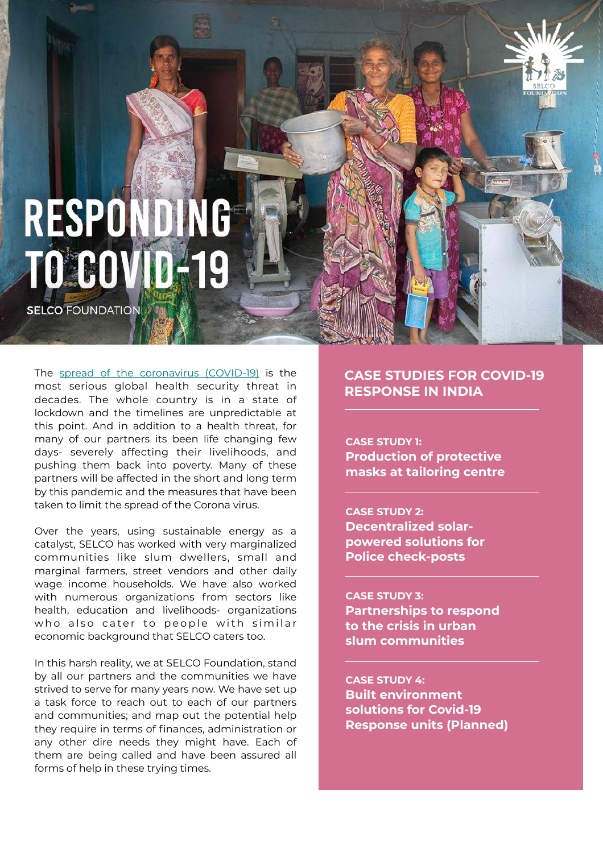# RESPONDING **TO COVID-19**

**SELCO FOUNDATION** 

The [spread of the coronavirus \(COVID-19\)](https://selcofoundation.us11.list-manage.com/track/click?u=9457996a442a8fcbbb3611aea&id=d37b36e8f2&e=ee42d53731) is the most serious global health security threat in decades. The whole country is in a state of lockdown and the timelines are unpredictable at this point. And in addition to a health threat, for many of our partners its been life changing few days- severely affecting their livelihoods, and pushing them back into poverty. Many of these partners will be affected in the short and long term by this pandemic and the measures that have been taken to limit the spread of the Corona virus.

Over the years, using sustainable energy as a catalyst, SELCO has worked with very marginalized communities like slum dwellers, small and marginal farmers, street vendors and other daily wage income households. We have also worked with numerous organizations from sectors like health, education and livelihoods- organizations who also cater to people with similar economic background that SELCO caters too.

In this harsh reality, we at SELCO Foundation, stand by all our partners and the communities we have strived to serve for many years now. We have set up a task force to reach out to each of our partners and communities; and map out the potential help they require in terms of finances, administration or any other dire needs they might have. Each of them are being called and have been assured all forms of help in these trying times.

# **CASE STUDIES FOR COVID-19 RESPONSE IN INDIA**

**CASE STUDY 1: Production of protective masks at tailoring centre**

### **CASE STUDY 2:**

**Decentralized solarpowered solutions for Police check-posts**

#### **CASE STUDY 3:**

**Partnerships to respond to the crisis in urban slum communities**

**CASE STUDY 4: Built environment solutions for Covid-19 Response units (Planned)**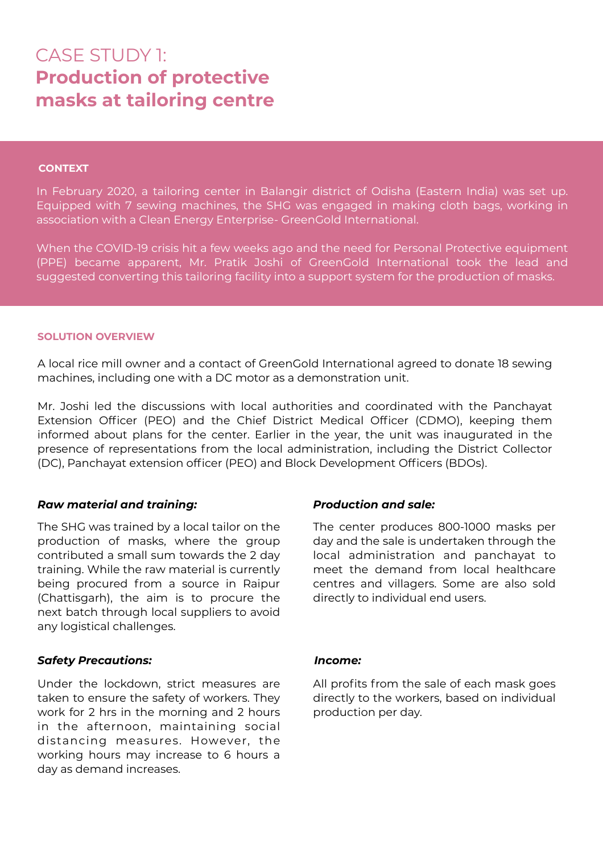# CASE STUDY 1: **Production of protective masks at tailoring centre**

### **CONTEXT**

In February 2020, a tailoring center in Balangir district of Odisha (Eastern India) was set up. Equipped with 7 sewing machines, the SHG was engaged in making cloth bags, working in association with a Clean Energy Enterprise- GreenGold International.

When the COVID-19 crisis hit a few weeks ago and the need for Personal Protective equipment (PPE) became apparent, Mr. Pratik Joshi of GreenGold International took the lead and suggested converting this tailoring facility into a support system for the production of masks.

### **SOLUTION OVERVIEW**

A local rice mill owner and a contact of GreenGold International agreed to donate 18 sewing machines, including one with a DC motor as a demonstration unit.

Mr. Joshi led the discussions with local authorities and coordinated with the Panchayat Extension Officer (PEO) and the Chief District Medical Officer (CDMO), keeping them informed about plans for the center. Earlier in the year, the unit was inaugurated in the presence of representations from the local administration, including the District Collector (DC), Panchayat extension officer (PEO) and Block Development Officers (BDOs).

### *Raw material and training:*

The SHG was trained by a local tailor on the production of masks, where the group contributed a small sum towards the 2 day training. While the raw material is currently being procured from a source in Raipur (Chattisgarh), the aim is to procure the next batch through local suppliers to avoid any logistical challenges.

### *Safety Precautions:*

Under the lockdown, strict measures are taken to ensure the safety of workers. They work for 2 hrs in the morning and 2 hours in the afternoon, maintaining social distancing measures. However, the working hours may increase to 6 hours a day as demand increases.

### *Production and sale:*

The center produces 800-1000 masks per day and the sale is undertaken through the local administration and panchayat to meet the demand from local healthcare centres and villagers. Some are also sold directly to individual end users.

### *Income:*

All profits from the sale of each mask goes directly to the workers, based on individual production per day.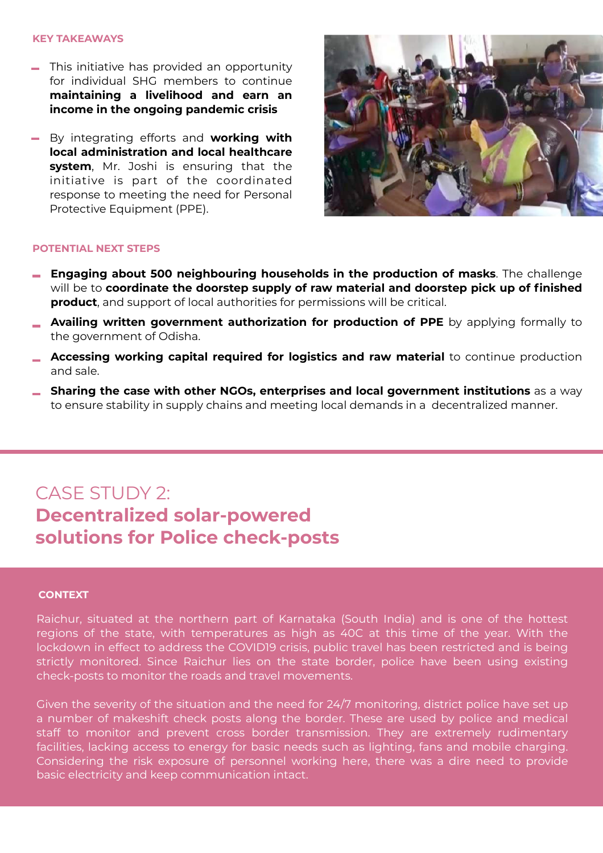#### **KEY TAKEAWAYS**

- This initiative has provided an opportunity for individual SHG members to continue **maintaining a livelihood and earn an income in the ongoing pandemic crisis**
- By integrating efforts and **working with local administration and local healthcare system**, Mr. Joshi is ensuring that the initiative is part of the coordinated response to meeting the need for Personal Protective Equipment (PPE).



#### **POTENTIAL NEXT STEPS**

- **Engaging about 500 neighbouring households in the production of masks**. The challenge will be to **coordinate the doorstep supply of raw material and doorstep pick up of finished product**, and support of local authorities for permissions will be critical.
- **Availing written government authorization for production of PPE** by applying formally to the government of Odisha.
- **Accessing working capital required for logistics and raw material** to continue production and sale.
- **Sharing the case with other NGOs, enterprises and local government institutions** as a way to ensure stability in supply chains and meeting local demands in a decentralized manner.

# CASE STUDY 2: **Decentralized solar-powered solutions for Police check-posts**

#### **CONTEXT**

Raichur, situated at the northern part of Karnataka (South India) and is one of the hottest regions of the state, with temperatures as high as 40C at this time of the year. With the lockdown in effect to address the COVID19 crisis, public travel has been restricted and is being strictly monitored. Since Raichur lies on the state border, police have been using existing check-posts to monitor the roads and travel movements.

Given the severity of the situation and the need for 24/7 monitoring, district police have set up a number of makeshift check posts along the border. These are used by police and medical staff to monitor and prevent cross border transmission. They are extremely rudimentary facilities, lacking access to energy for basic needs such as lighting, fans and mobile charging. Considering the risk exposure of personnel working here, there was a dire need to provide basic electricity and keep communication intact.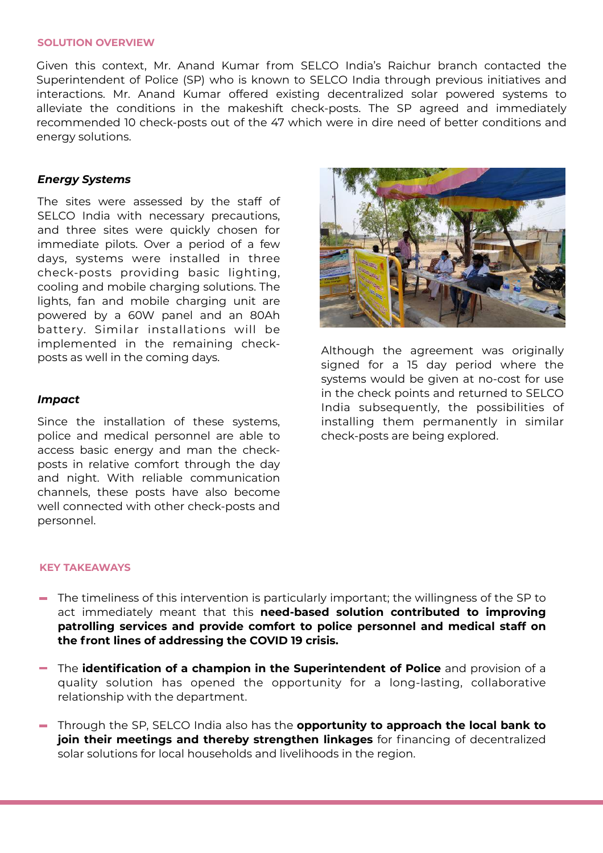### **SOLUTION OVERVIEW**

Given this context, Mr. Anand Kumar from SELCO India's Raichur branch contacted the Superintendent of Police (SP) who is known to SELCO India through previous initiatives and interactions. Mr. Anand Kumar offered existing decentralized solar powered systems to alleviate the conditions in the makeshift check-posts. The SP agreed and immediately recommended 10 check-posts out of the 47 which were in dire need of better conditions and energy solutions.

### *Energy Systems*

The sites were assessed by the staff of SELCO India with necessary precautions, and three sites were quickly chosen for immediate pilots. Over a period of a few days, systems were installed in three check-posts providing basic lighting, cooling and mobile charging solutions. The lights, fan and mobile charging unit are powered by a 60W panel and an 80Ah battery. Similar installations will be implemented in the remaining checkposts as well in the coming days.

### *Impact*

Since the installation of these systems, police and medical personnel are able to access basic energy and man the checkposts in relative comfort through the day and night. With reliable communication channels, these posts have also become well connected with other check-posts and personnel.



Although the agreement was originally signed for a 15 day period where the systems would be given at no-cost for use in the check points and returned to SELCO India subsequently, the possibilities of installing them permanently in similar check-posts are being explored.

### **KEY TAKEAWAYS**

- The timeliness of this intervention is particularly important; the willingness of the SP to act immediately meant that this **need-based solution contributed to improving patrolling services and provide comfort to police personnel and medical staff on the front lines of addressing the COVID 19 crisis.**
- The **identification of a champion in the Superintendent of Police** and provision of a quality solution has opened the opportunity for a long-lasting, collaborative relationship with the department.
- Through the SP, SELCO India also has the **opportunity to approach the local bank to join their meetings and thereby strengthen linkages** for financing of decentralized solar solutions for local households and livelihoods in the region.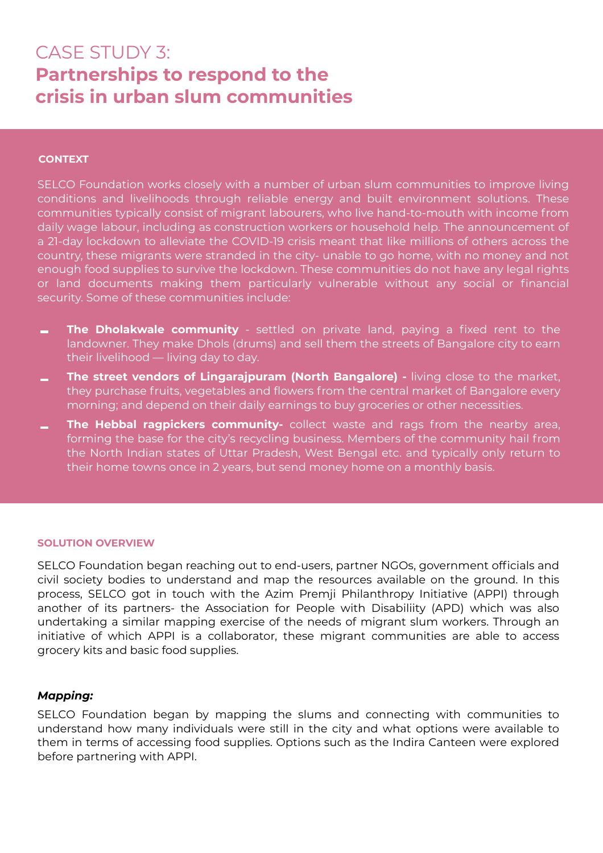# CASE STUDY 3: **Partnerships to respond to the crisis in urban slum communities**

### **CONTEXT**

SELCO Foundation works closely with a number of urban slum communities to improve living conditions and livelihoods through reliable energy and built environment solutions. These communities typically consist of migrant labourers, who live hand-to-mouth with income from daily wage labour, including as construction workers or household help. The announcement of a 21-day lockdown to alleviate the COVID-19 crisis meant that like millions of others across the country, these migrants were stranded in the city- unable to go home, with no money and not enough food supplies to survive the lockdown. These communities do not have any legal rights or land documents making them particularly vulnerable without any social or financial security. Some of these communities include:

- **The Dholakwale community** settled on private land, paying a fixed rent to the  $\equiv$ landowner. They make Dhols (drums) and sell them the streets of Bangalore city to earn their livelihood — living day to day.
- **The street vendors of Lingarajpuram (North Bangalore) -** living close to the market, they purchase fruits, vegetables and flowers from the central market of Bangalore every morning; and depend on their daily earnings to buy groceries or other necessities.
- **The Hebbal ragpickers community-** collect waste and rags from the nearby area, forming the base for the city's recycling business. Members of the community hail from the North Indian states of Uttar Pradesh, West Bengal etc. and typically only return to their home towns once in 2 years, but send money home on a monthly basis.

### **SOLUTION OVERVIEW**

SELCO Foundation began reaching out to end-users, partner NGOs, government officials and civil society bodies to understand and map the resources available on the ground. In this process, SELCO got in touch with the Azim Premji Philanthropy Initiative (APPI) through another of its partners- the Association for People with Disabiliity (APD) which was also undertaking a similar mapping exercise of the needs of migrant slum workers. Through an initiative of which APPI is a collaborator, these migrant communities are able to access grocery kits and basic food supplies.

### *Mapping:*

SELCO Foundation began by mapping the slums and connecting with communities to understand how many individuals were still in the city and what options were available to them in terms of accessing food supplies. Options such as the Indira Canteen were explored before partnering with APPI.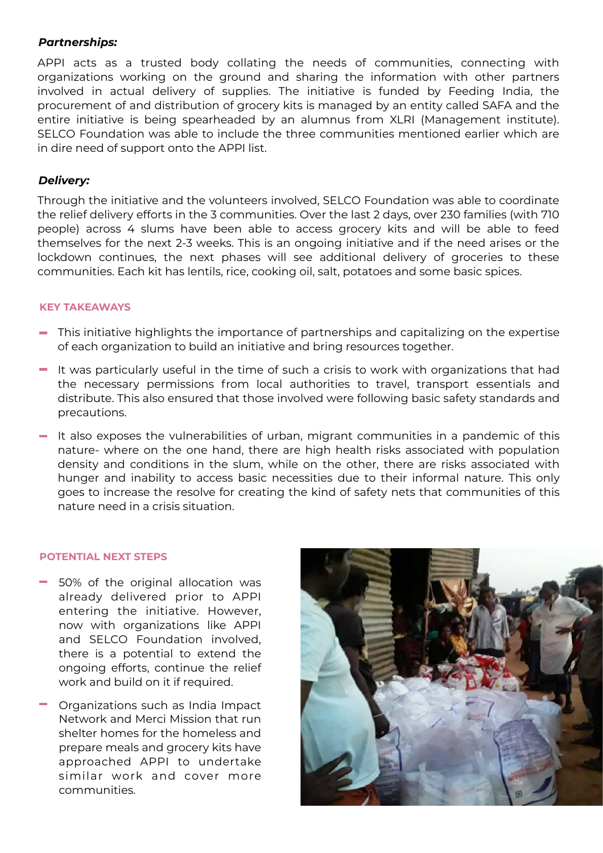### *Partnerships:*

APPI acts as a trusted body collating the needs of communities, connecting with organizations working on the ground and sharing the information with other partners involved in actual delivery of supplies. The initiative is funded by Feeding India, the procurement of and distribution of grocery kits is managed by an entity called SAFA and the entire initiative is being spearheaded by an alumnus from XLRI (Management institute). SELCO Foundation was able to include the three communities mentioned earlier which are in dire need of support onto the APPI list.

### *Delivery:*

Through the initiative and the volunteers involved, SELCO Foundation was able to coordinate the relief delivery efforts in the 3 communities. Over the last 2 days, over 230 families (with 710 people) across 4 slums have been able to access grocery kits and will be able to feed themselves for the next 2-3 weeks. This is an ongoing initiative and if the need arises or the lockdown continues, the next phases will see additional delivery of groceries to these communities. Each kit has lentils, rice, cooking oil, salt, potatoes and some basic spices.

### **KEY TAKEAWAYS**

- This initiative highlights the importance of partnerships and capitalizing on the expertise of each organization to build an initiative and bring resources together.
- $\blacksquare$  It was particularly useful in the time of such a crisis to work with organizations that had the necessary permissions from local authorities to travel, transport essentials and distribute. This also ensured that those involved were following basic safety standards and precautions.
- $-$  It also exposes the vulnerabilities of urban, migrant communities in a pandemic of this nature- where on the one hand, there are high health risks associated with population density and conditions in the slum, while on the other, there are risks associated with hunger and inability to access basic necessities due to their informal nature. This only goes to increase the resolve for creating the kind of safety nets that communities of this nature need in a crisis situation.

### **POTENTIAL NEXT STEPS**

- 50% of the original allocation was already delivered prior to APPI entering the initiative. However, now with organizations like APPI and SELCO Foundation involved, there is a potential to extend the ongoing efforts, continue the relief work and build on it if required.
- **The Organizations such as India Impact** Network and Merci Mission that run shelter homes for the homeless and prepare meals and grocery kits have approached APPI to undertake similar work and cover more communities.

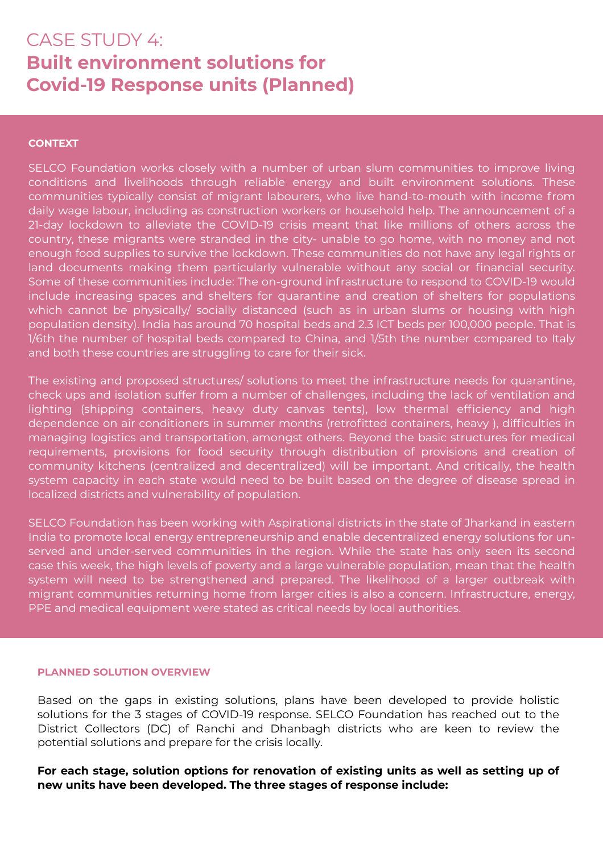# CASE STUDY 4: **Built environment solutions for Covid-19 Response units (Planned)**

### **CONTEXT**

SELCO Foundation works closely with a number of urban slum communities to improve living conditions and livelihoods through reliable energy and built environment solutions. These communities typically consist of migrant labourers, who live hand-to-mouth with income from daily wage labour, including as construction workers or household help. The announcement of a 21-day lockdown to alleviate the COVID-19 crisis meant that like millions of others across the country, these migrants were stranded in the city- unable to go home, with no money and not enough food supplies to survive the lockdown. These communities do not have any legal rights or land documents making them particularly vulnerable without any social or financial security. Some of these communities include: The on-ground infrastructure to respond to COVID-19 would include increasing spaces and shelters for quarantine and creation of shelters for populations which cannot be physically/ socially distanced (such as in urban slums or housing with high population density). India has around 70 hospital beds and 2.3 ICT beds per 100,000 people. That is 1/6th the number of hospital beds compared to China, and 1/5th the number compared to Italy and both these countries are struggling to care for their sick.

The existing and proposed structures/ solutions to meet the infrastructure needs for quarantine, check ups and isolation suffer from a number of challenges, including the lack of ventilation and lighting (shipping containers, heavy duty canvas tents), low thermal efficiency and high dependence on air conditioners in summer months (retrofitted containers, heavy ), difficulties in managing logistics and transportation, amongst others. Beyond the basic structures for medical requirements, provisions for food security through distribution of provisions and creation of community kitchens (centralized and decentralized) will be important. And critically, the health system capacity in each state would need to be built based on the degree of disease spread in localized districts and vulnerability of population.

SELCO Foundation has been working with Aspirational districts in the state of Jharkand in eastern India to promote local energy entrepreneurship and enable decentralized energy solutions for unserved and under-served communities in the region. While the state has only seen its second case this week, the high levels of poverty and a large vulnerable population, mean that the health system will need to be strengthened and prepared. The likelihood of a larger outbreak with migrant communities returning home from larger cities is also a concern. Infrastructure, energy, PPE and medical equipment were stated as critical needs by local authorities.

### **PLANNED SOLUTION OVERVIEW**

Based on the gaps in existing solutions, plans have been developed to provide holistic solutions for the 3 stages of COVID-19 response. SELCO Foundation has reached out to the District Collectors (DC) of Ranchi and Dhanbagh districts who are keen to review the potential solutions and prepare for the crisis locally.

**For each stage, solution options for renovation of existing units as well as setting up of new units have been developed. The three stages of response include:**